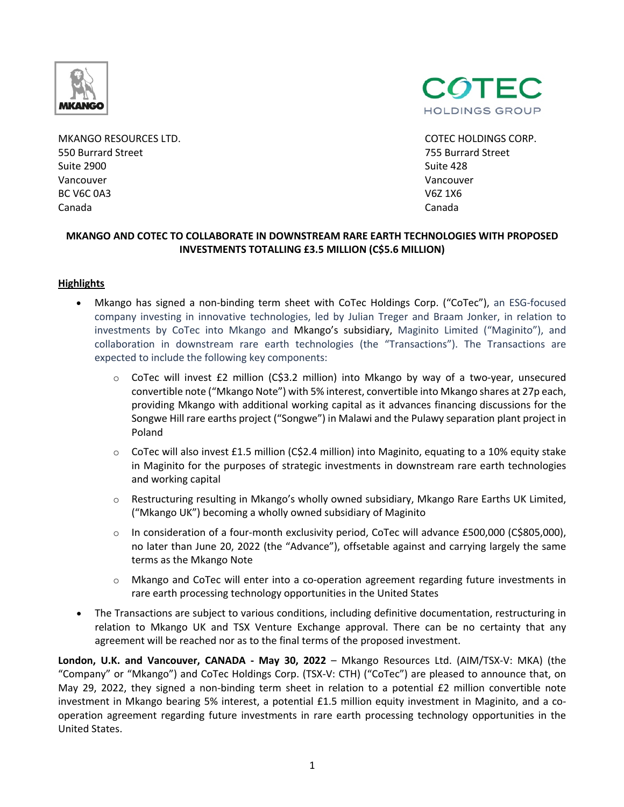

MKANGO RESOURCES LTD. COTEC HOLDINGS CORP. 550 Burrard Street 755 Burrard Street Suite 2900 Suite 428 Vancouver Vancouver BC V6C 0A3 V6Z 1X6 Canada Canada



## **MKANGO AND COTEC TO COLLABORATE IN DOWNSTREAM RARE EARTH TECHNOLOGIES WITH PROPOSED INVESTMENTS TOTALLING £3.5 MILLION (C\$5.6 MILLION)**

### **Highlights**

- Mkango has signed a non-binding term sheet with CoTec Holdings Corp. ("CoTec"), an ESG-focused company investing in innovative technologies, led by Julian Treger and Braam Jonker, in relation to investments by CoTec into Mkango and Mkango's subsidiary, Maginito Limited ("Maginito"), and collaboration in downstream rare earth technologies (the "Transactions"). The Transactions are expected to include the following key components:
	- $\circ$  CoTec will invest £2 million (C\$3.2 million) into Mkango by way of a two-year, unsecured convertible note ("Mkango Note") with 5% interest, convertible into Mkango shares at 27p each, providing Mkango with additional working capital as it advances financing discussions for the Songwe Hill rare earths project ("Songwe") in Malawi and the Pulawy separation plant project in Poland
	- $\circ$  CoTec will also invest £1.5 million (C\$2.4 million) into Maginito, equating to a 10% equity stake in Maginito for the purposes of strategic investments in downstream rare earth technologies and working capital
	- o Restructuring resulting in Mkango's wholly owned subsidiary, Mkango Rare Earths UK Limited, ("Mkango UK") becoming a wholly owned subsidiary of Maginito
	- o In consideration of a four-month exclusivity period, CoTec will advance £500,000 (C\$805,000), no later than June 20, 2022 (the "Advance"), offsetable against and carrying largely the same terms as the Mkango Note
	- o Mkango and CoTec will enter into a co-operation agreement regarding future investments in rare earth processing technology opportunities in the United States
- The Transactions are subject to various conditions, including definitive documentation, restructuring in relation to Mkango UK and TSX Venture Exchange approval. There can be no certainty that any agreement will be reached nor as to the final terms of the proposed investment.

**London, U.K. and Vancouver, CANADA - May 30, 2022** – Mkango Resources Ltd. (AIM/TSX-V: MKA) (the "Company" or "Mkango") and CoTec Holdings Corp. (TSX-V: CTH) ("CoTec") are pleased to announce that, on May 29, 2022, they signed a non-binding term sheet in relation to a potential £2 million convertible note investment in Mkango bearing 5% interest, a potential £1.5 million equity investment in Maginito, and a cooperation agreement regarding future investments in rare earth processing technology opportunities in the United States.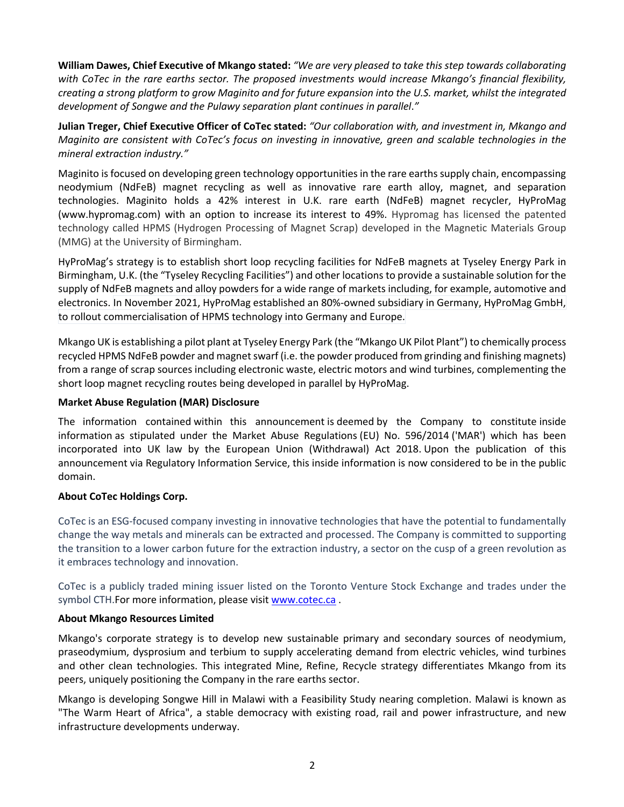**William Dawes, Chief Executive of Mkango stated:** *"We are very pleased to take this step towards collaborating with CoTec in the rare earths sector. The proposed investments would increase Mkango's financial flexibility, creating a strong platform to grow Maginito and for future expansion into the U.S. market, whilst the integrated development of Songwe and the Pulawy separation plant continues in parallel*.*"*

**Julian Treger, Chief Executive Officer of CoTec stated:** *"Our collaboration with, and investment in, Mkango and Maginito are consistent with CoTec's focus on investing in innovative, green and scalable technologies in the mineral extraction industry."*

Maginito is focused on developing green technology opportunities in the rare earths supply chain, encompassing neodymium (NdFeB) magnet recycling as well as innovative rare earth alloy, magnet, and separation technologies. Maginito holds a 42% interest in U.K. rare earth (NdFeB) magnet recycler, HyProMag (www.hypromag.com) with an option to increase its interest to 49%. Hypromag has licensed the patented technology called HPMS (Hydrogen Processing of Magnet Scrap) developed in the Magnetic Materials Group (MMG) at the University of Birmingham.

HyProMag's strategy is to establish short loop recycling facilities for NdFeB magnets at Tyseley Energy Park in Birmingham, U.K. (the "Tyseley Recycling Facilities") and other locations to provide a sustainable solution for the supply of NdFeB magnets and alloy powders for a wide range of markets including, for example, automotive and electronics. In November 2021, HyProMag established an 80%-owned subsidiary in Germany, HyProMag GmbH, to rollout commercialisation of HPMS technology into Germany and Europe.

Mkango UK is establishing a pilot plant at Tyseley Energy Park (the "Mkango UK Pilot Plant") to chemically process recycled HPMS NdFeB powder and magnet swarf (i.e. the powder produced from grinding and finishing magnets) from a range of scrap sources including electronic waste, electric motors and wind turbines, complementing the short loop magnet recycling routes being developed in parallel by HyProMag.

## **Market Abuse Regulation (MAR) Disclosure**

The information contained within this announcement is deemed by the Company to constitute inside information as stipulated under the Market Abuse Regulations (EU) No. 596/2014 ('MAR') which has been incorporated into UK law by the European Union (Withdrawal) Act 2018. Upon the publication of this announcement via Regulatory Information Service, this inside information is now considered to be in the public domain.

# **About CoTec Holdings Corp.**

CoTec is an ESG-focused company investing in innovative technologies that have the potential to fundamentally change the way metals and minerals can be extracted and processed. The Company is committed to supporting the transition to a lower carbon future for the extraction industry, a sector on the cusp of a green revolution as it embraces technology and innovation.

CoTec is a publicly traded mining issuer listed on the Toronto Venture Stock Exchange and trades under the symbol CTH.For more information, please visit www.cotec.ca.

### **About Mkango Resources Limited**

Mkango's corporate strategy is to develop new sustainable primary and secondary sources of neodymium, praseodymium, dysprosium and terbium to supply accelerating demand from electric vehicles, wind turbines and other clean technologies. This integrated Mine, Refine, Recycle strategy differentiates Mkango from its peers, uniquely positioning the Company in the rare earths sector.

Mkango is developing Songwe Hill in Malawi with a Feasibility Study nearing completion. Malawi is known as "The Warm Heart of Africa", a stable democracy with existing road, rail and power infrastructure, and new infrastructure developments underway.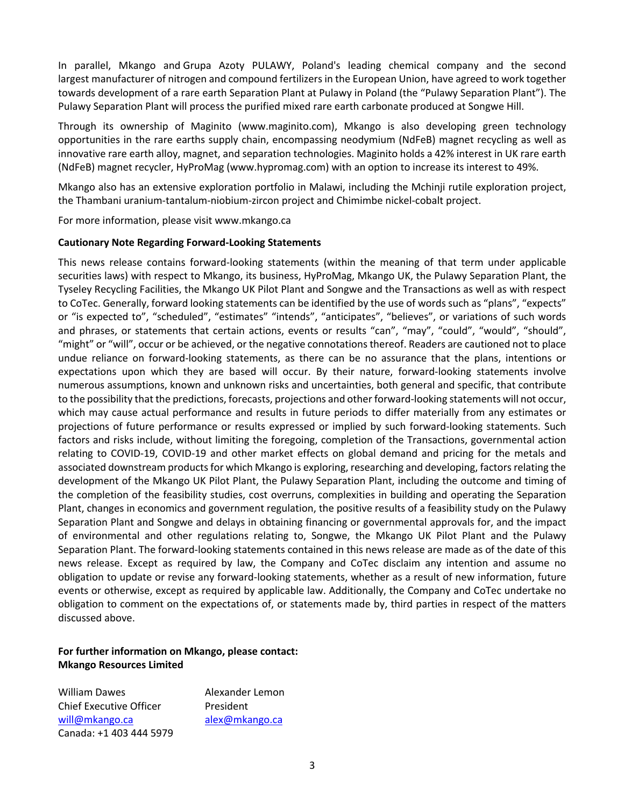In parallel, Mkango and Grupa Azoty PULAWY, Poland's leading chemical company and the second largest manufacturer of nitrogen and compound fertilizers in the European Union, have agreed to work together towards development of a rare earth Separation Plant at Pulawy in Poland (the "Pulawy Separation Plant"). The Pulawy Separation Plant will process the purified mixed rare earth carbonate produced at Songwe Hill.

Through its ownership of Maginito (www.maginito.com), Mkango is also developing green technology opportunities in the rare earths supply chain, encompassing neodymium (NdFeB) magnet recycling as well as innovative rare earth alloy, magnet, and separation technologies. Maginito holds a 42% interest in UK rare earth (NdFeB) magnet recycler, HyProMag (www.hypromag.com) with an option to increase its interest to 49%.

Mkango also has an extensive exploration portfolio in Malawi, including the Mchinji rutile exploration project, the Thambani uranium-tantalum-niobium-zircon project and Chimimbe nickel-cobalt project.

For more information, please visit www.mkango.ca

#### **Cautionary Note Regarding Forward-Looking Statements**

This news release contains forward-looking statements (within the meaning of that term under applicable securities laws) with respect to Mkango, its business, HyProMag, Mkango UK, the Pulawy Separation Plant, the Tyseley Recycling Facilities, the Mkango UK Pilot Plant and Songwe and the Transactions as well as with respect to CoTec. Generally, forward looking statements can be identified by the use of words such as "plans", "expects" or "is expected to", "scheduled", "estimates" "intends", "anticipates", "believes", or variations of such words and phrases, or statements that certain actions, events or results "can", "may", "could", "would", "should", "might" or "will", occur or be achieved, or the negative connotations thereof. Readers are cautioned not to place undue reliance on forward-looking statements, as there can be no assurance that the plans, intentions or expectations upon which they are based will occur. By their nature, forward-looking statements involve numerous assumptions, known and unknown risks and uncertainties, both general and specific, that contribute to the possibility that the predictions, forecasts, projections and other forward-looking statements will not occur, which may cause actual performance and results in future periods to differ materially from any estimates or projections of future performance or results expressed or implied by such forward-looking statements. Such factors and risks include, without limiting the foregoing, completion of the Transactions, governmental action relating to COVID-19, COVID-19 and other market effects on global demand and pricing for the metals and associated downstream products for which Mkango is exploring, researching and developing, factors relating the development of the Mkango UK Pilot Plant, the Pulawy Separation Plant, including the outcome and timing of the completion of the feasibility studies, cost overruns, complexities in building and operating the Separation Plant, changes in economics and government regulation, the positive results of a feasibility study on the Pulawy Separation Plant and Songwe and delays in obtaining financing or governmental approvals for, and the impact of environmental and other regulations relating to, Songwe, the Mkango UK Pilot Plant and the Pulawy Separation Plant. The forward-looking statements contained in this news release are made as of the date of this news release. Except as required by law, the Company and CoTec disclaim any intention and assume no obligation to update or revise any forward-looking statements, whether as a result of new information, future events or otherwise, except as required by applicable law. Additionally, the Company and CoTec undertake no obligation to comment on the expectations of, or statements made by, third parties in respect of the matters discussed above.

# **For further information on Mkango, please contact: Mkango Resources Limited**

William Dawes **Alexander Lemon** Chief Executive Officer President will@mkango.ca alex@mkango.ca Canada: +1 403 444 5979